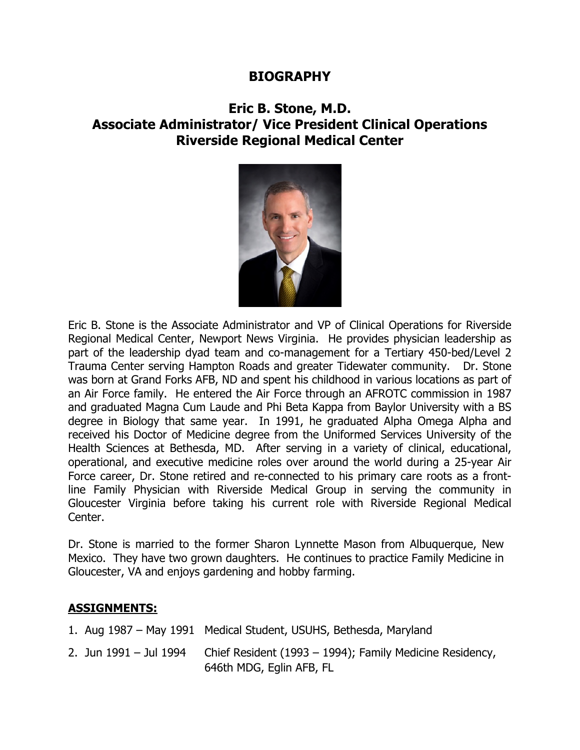## **BIOGRAPHY**

## **Eric B. Stone, M.D. Associate Administrator/ Vice President Clinical Operations Riverside Regional Medical Center**



Eric B. Stone is the Associate Administrator and VP of Clinical Operations for Riverside Regional Medical Center, Newport News Virginia. He provides physician leadership as part of the leadership dyad team and co-management for a Tertiary 450-bed/Level 2 Trauma Center serving Hampton Roads and greater Tidewater community. Dr. Stone was born at Grand Forks AFB, ND and spent his childhood in various locations as part of an Air Force family. He entered the Air Force through an AFROTC commission in 1987 and graduated Magna Cum Laude and Phi Beta Kappa from Baylor University with a BS degree in Biology that same year. In 1991, he graduated Alpha Omega Alpha and received his Doctor of Medicine degree from the Uniformed Services University of the Health Sciences at Bethesda, MD. After serving in a variety of clinical, educational, operational, and executive medicine roles over around the world during a 25-year Air Force career, Dr. Stone retired and re-connected to his primary care roots as a frontline Family Physician with Riverside Medical Group in serving the community in Gloucester Virginia before taking his current role with Riverside Regional Medical Center.

Dr. Stone is married to the former Sharon Lynnette Mason from Albuquerque, New Mexico. They have two grown daughters. He continues to practice Family Medicine in Gloucester, VA and enjoys gardening and hobby farming.

## **ASSIGNMENTS:**

|                        | 1. Aug 1987 – May 1991 Medical Student, USUHS, Bethesda, Maryland                    |
|------------------------|--------------------------------------------------------------------------------------|
| 2. Jun 1991 - Jul 1994 | Chief Resident (1993 – 1994); Family Medicine Residency,<br>646th MDG, Eglin AFB, FL |